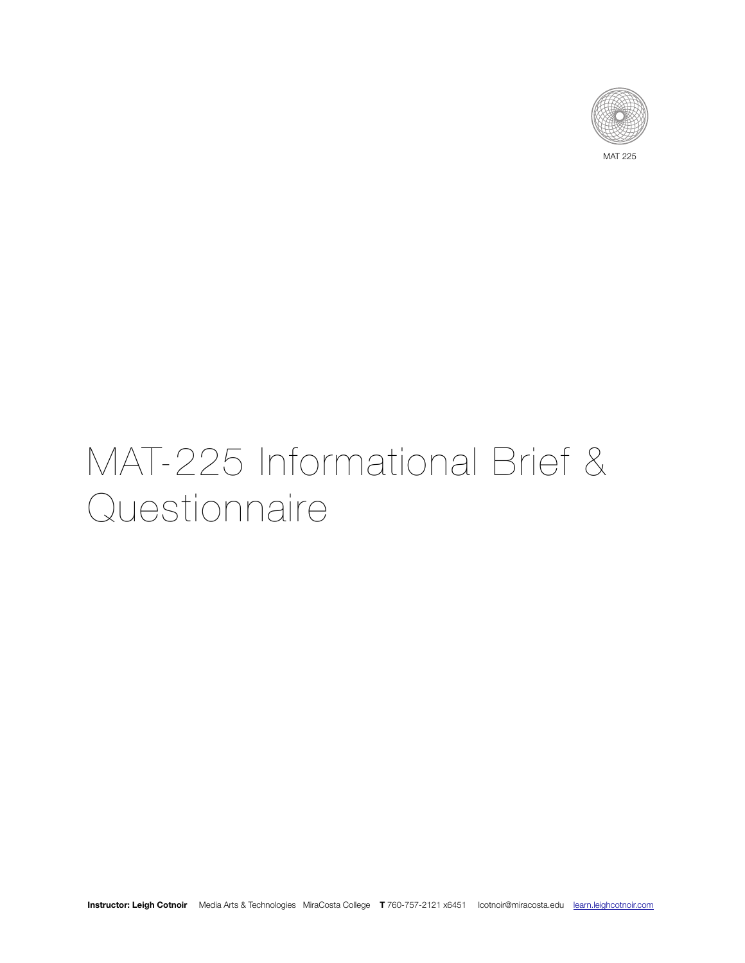

MAT 225

# MAT-225 Informational Brief & Questionnaire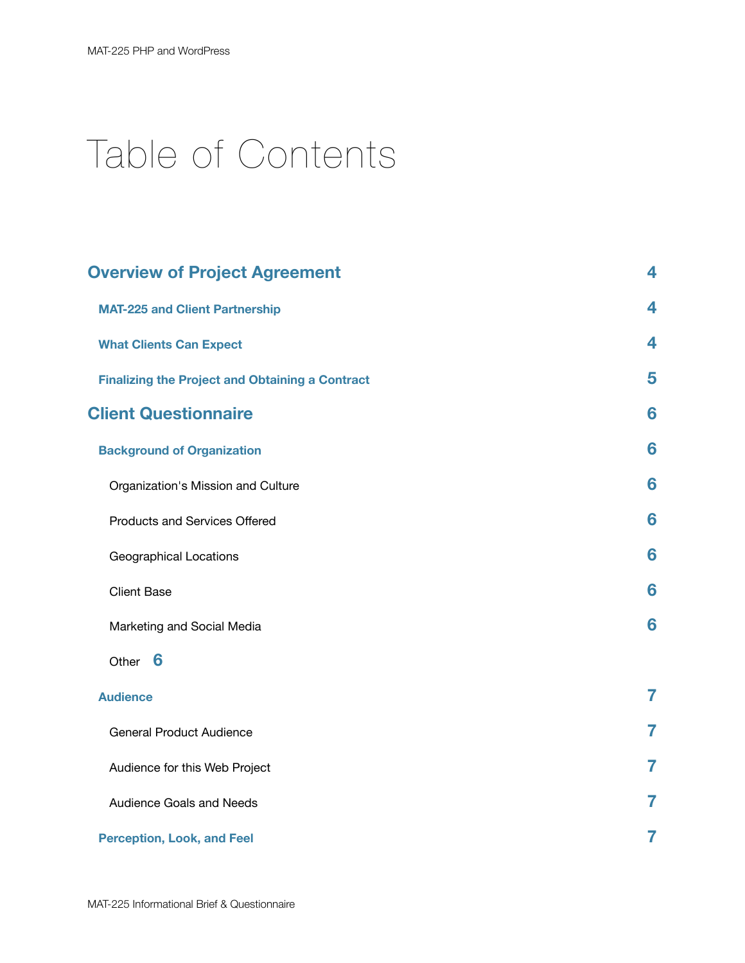# Table of Contents

| <b>Overview of Project Agreement</b>                   | 4                       |
|--------------------------------------------------------|-------------------------|
| <b>MAT-225 and Client Partnership</b>                  | 4                       |
| <b>What Clients Can Expect</b>                         | $\overline{\mathbf{4}}$ |
| <b>Finalizing the Project and Obtaining a Contract</b> | 5                       |
| <b>Client Questionnaire</b>                            | 6                       |
| <b>Background of Organization</b>                      | 6                       |
| Organization's Mission and Culture                     | 6                       |
| Products and Services Offered                          | 6                       |
| Geographical Locations                                 | 6                       |
| <b>Client Base</b>                                     | 6                       |
| Marketing and Social Media                             | 6                       |
| Other 6                                                |                         |
| <b>Audience</b>                                        | $\overline{7}$          |
| <b>General Product Audience</b>                        | 7                       |
| Audience for this Web Project                          | 7                       |
| Audience Goals and Needs                               | 7                       |
| <b>Perception, Look, and Feel</b>                      | 7                       |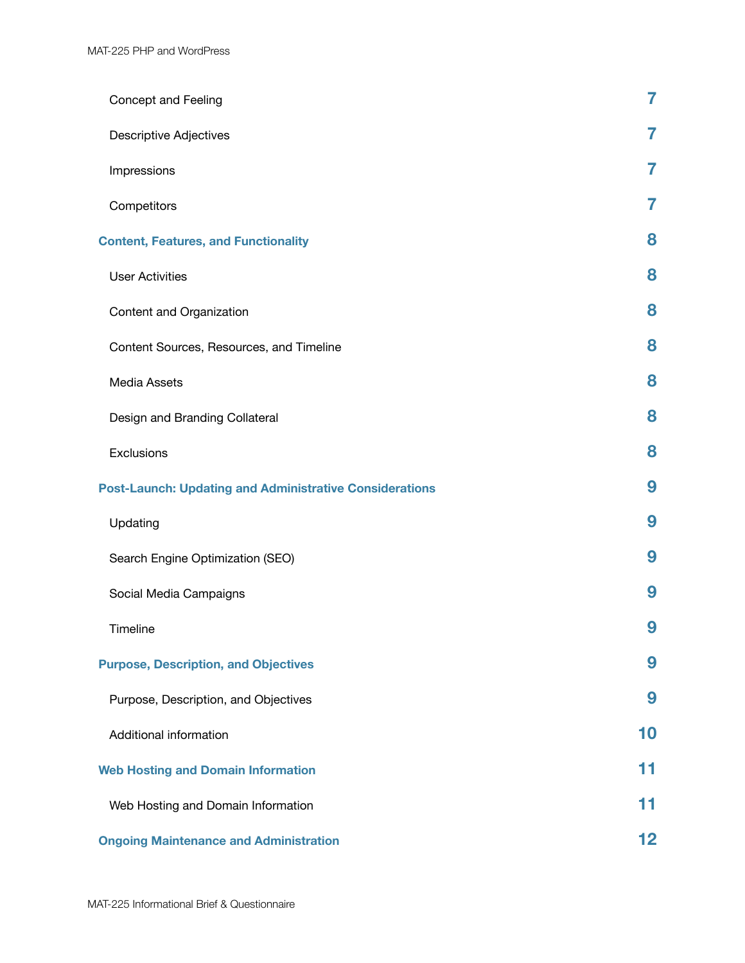| Concept and Feeling                                            | 7  |
|----------------------------------------------------------------|----|
| <b>Descriptive Adjectives</b>                                  | 7  |
| Impressions                                                    | 7  |
| Competitors                                                    | 7  |
| <b>Content, Features, and Functionality</b>                    | 8  |
| <b>User Activities</b>                                         | 8  |
| Content and Organization                                       | 8  |
| Content Sources, Resources, and Timeline                       | 8  |
| Media Assets                                                   | 8  |
| Design and Branding Collateral                                 | 8  |
| Exclusions                                                     | 8  |
| <b>Post-Launch: Updating and Administrative Considerations</b> | 9  |
| Updating                                                       | 9  |
| Search Engine Optimization (SEO)                               | 9  |
| Social Media Campaigns                                         | 9  |
| Timeline                                                       | 9  |
| <b>Purpose, Description, and Objectives</b>                    | 9  |
| Purpose, Description, and Objectives                           | 9  |
| Additional information                                         | 10 |
| <b>Web Hosting and Domain Information</b>                      | 11 |
| Web Hosting and Domain Information                             | 11 |
| <b>Ongoing Maintenance and Administration</b>                  | 12 |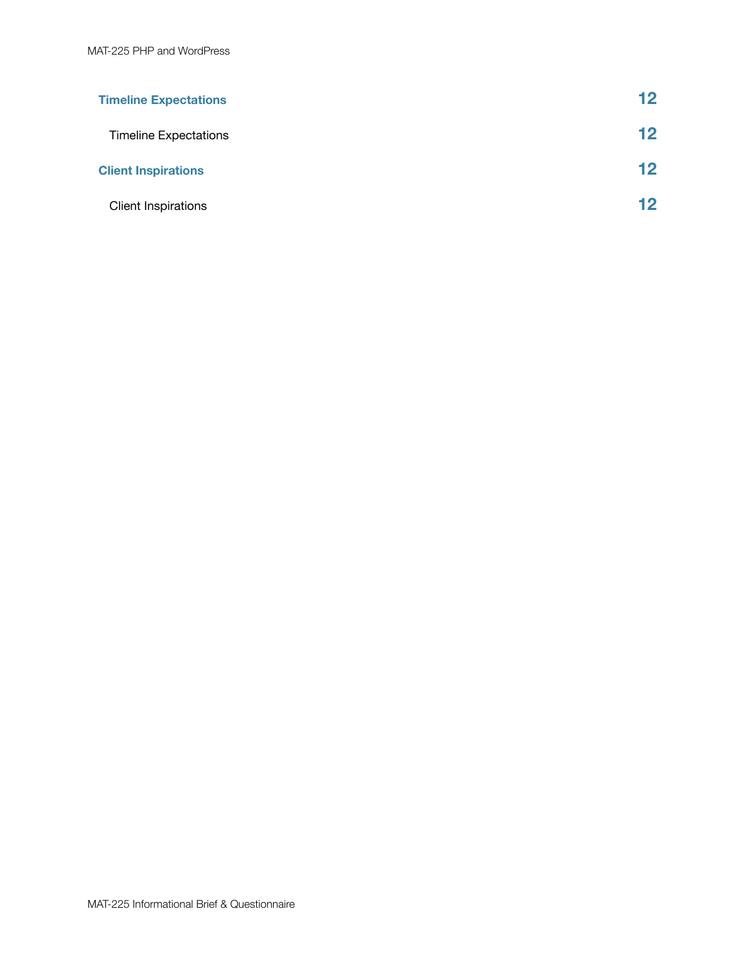| <b>Timeline Expectations</b> | $12 \,$ |
|------------------------------|---------|
| <b>Timeline Expectations</b> | $12 \,$ |
| <b>Client Inspirations</b>   | $12 \,$ |
| <b>Client Inspirations</b>   | $12 \,$ |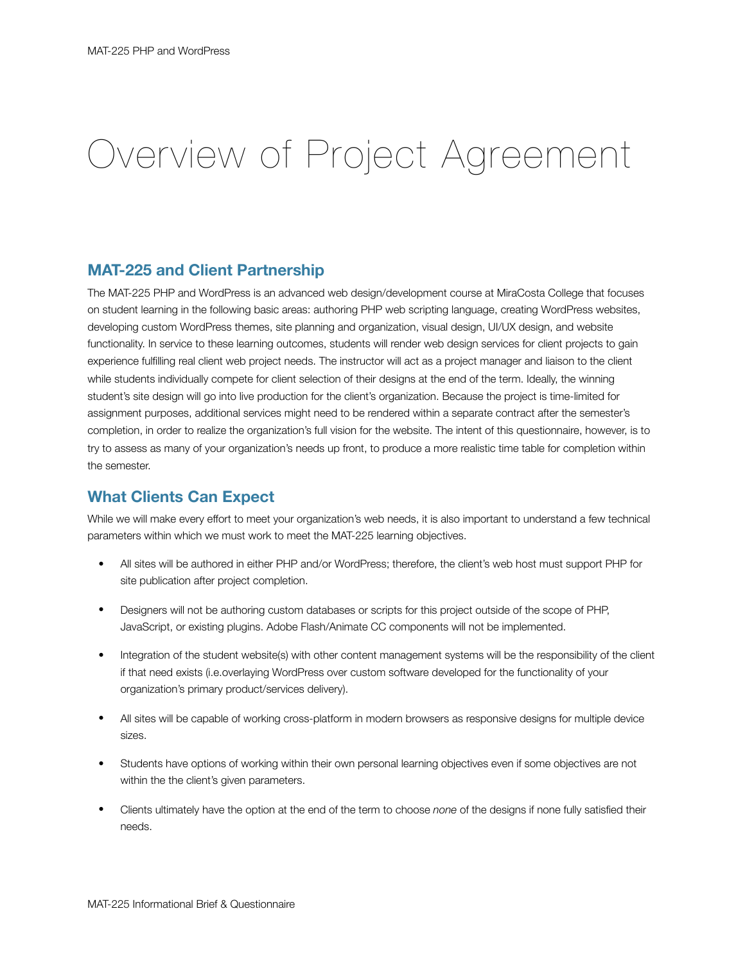# Overview of Project Agreement

### **MAT-225 and Client Partnership**

The MAT-225 PHP and WordPress is an advanced web design/development course at MiraCosta College that focuses on student learning in the following basic areas: authoring PHP web scripting language, creating WordPress websites, developing custom WordPress themes, site planning and organization, visual design, UI/UX design, and website functionality. In service to these learning outcomes, students will render web design services for client projects to gain experience fulfilling real client web project needs. The instructor will act as a project manager and liaison to the client while students individually compete for client selection of their designs at the end of the term. Ideally, the winning student's site design will go into live production for the client's organization. Because the project is time-limited for assignment purposes, additional services might need to be rendered within a separate contract after the semester's completion, in order to realize the organization's full vision for the website. The intent of this questionnaire, however, is to try to assess as many of your organization's needs up front, to produce a more realistic time table for completion within the semester.

### **What Clients Can Expect**

While we will make every effort to meet your organization's web needs, it is also important to understand a few technical parameters within which we must work to meet the MAT-225 learning objectives.

- All sites will be authored in either PHP and/or WordPress; therefore, the client's web host must support PHP for site publication after project completion.
- Designers will not be authoring custom databases or scripts for this project outside of the scope of PHP, JavaScript, or existing plugins. Adobe Flash/Animate CC components will not be implemented.
- Integration of the student website(s) with other content management systems will be the responsibility of the client if that need exists (i.e.overlaying WordPress over custom software developed for the functionality of your organization's primary product/services delivery).
- All sites will be capable of working cross-platform in modern browsers as responsive designs for multiple device sizes.
- Students have options of working within their own personal learning objectives even if some objectives are not within the the client's given parameters.
- Clients ultimately have the option at the end of the term to choose *none* of the designs if none fully satisfied their needs.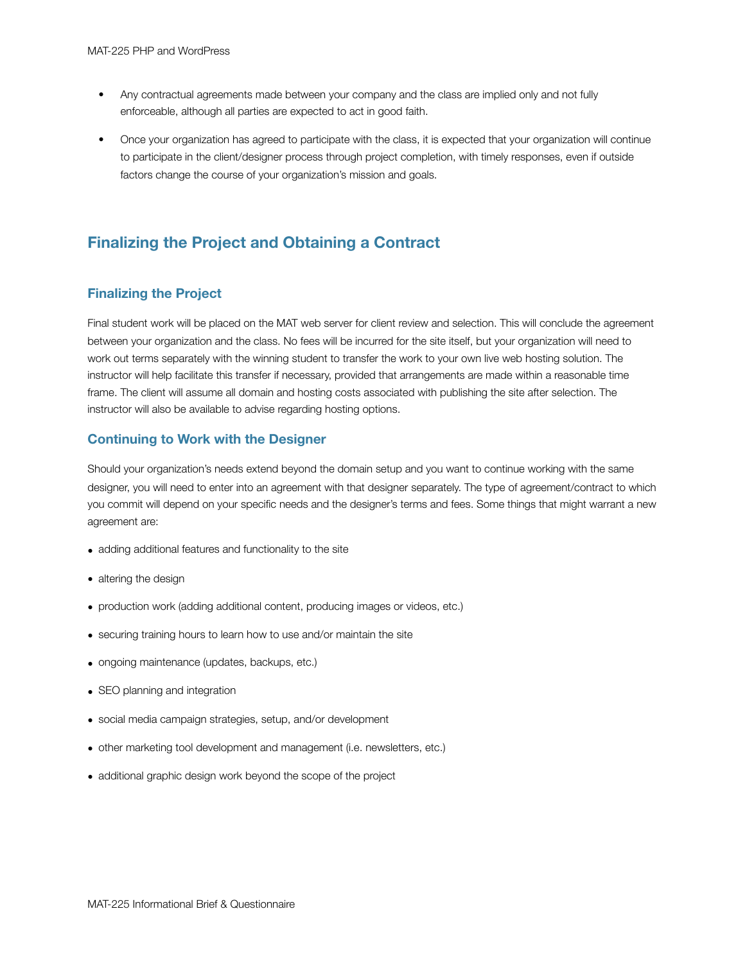- Any contractual agreements made between your company and the class are implied only and not fully enforceable, although all parties are expected to act in good faith.
- Once your organization has agreed to participate with the class, it is expected that your organization will continue to participate in the client/designer process through project completion, with timely responses, even if outside factors change the course of your organization's mission and goals.

### **Finalizing the Project and Obtaining a Contract**

### **Finalizing the Project**

Final student work will be placed on the MAT web server for client review and selection. This will conclude the agreement between your organization and the class. No fees will be incurred for the site itself, but your organization will need to work out terms separately with the winning student to transfer the work to your own live web hosting solution. The instructor will help facilitate this transfer if necessary, provided that arrangements are made within a reasonable time frame. The client will assume all domain and hosting costs associated with publishing the site after selection. The instructor will also be available to advise regarding hosting options.

### **Continuing to Work with the Designer**

Should your organization's needs extend beyond the domain setup and you want to continue working with the same designer, you will need to enter into an agreement with that designer separately. The type of agreement/contract to which you commit will depend on your specific needs and the designer's terms and fees. Some things that might warrant a new agreement are:

- adding additional features and functionality to the site
- altering the design
- production work (adding additional content, producing images or videos, etc.)
- securing training hours to learn how to use and/or maintain the site
- ongoing maintenance (updates, backups, etc.)
- SEO planning and integration
- social media campaign strategies, setup, and/or development
- other marketing tool development and management (i.e. newsletters, etc.)
- additional graphic design work beyond the scope of the project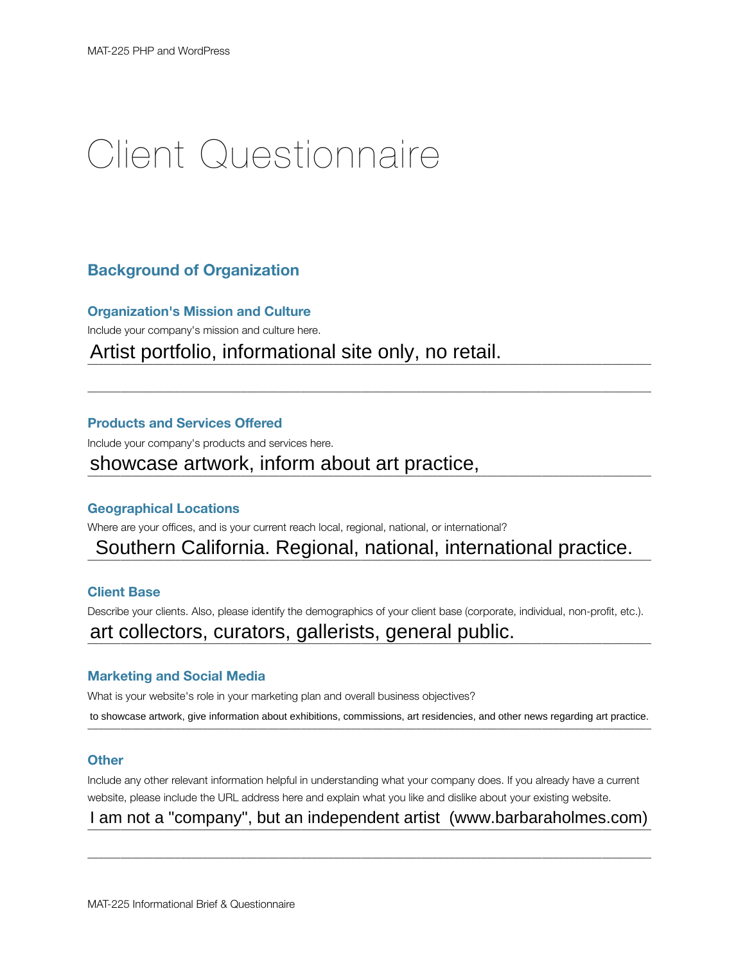# Client Questionnaire

### **Background of Organization**

**Organization's Mission and Culture** 

Include your company's mission and culture here.

Artist portfolio, informational site only, no retail.

### **Products and Services Offered**

Include your company's products and services here.

# showcase artwork, inform about art practice, **with any contract of the state of the state of the state of the state of the state of the state of the state of the state of the state of the state of the state of the state of**

### **Geographical Locations**

Where are your offices, and is your current reach local, regional, national, or international?

# Southern California. Regional, national, international practice.

 $\bot$  , and the state of the state of the state of the state of the state of the state of the state of the state of the state of the state of the state of the state of the state of the state of the state of the state of th

### **Client Base**

Describe your clients. Also, please identify the demographics of your client base (corporate, individual, non-profit, etc.).

# art collectors, curators, gallerists, general public.

### **Marketing and Social Media**

What is your website's role in your marketing plan and overall business objectives? to showcase artwork, give information about exhibitions, commissions, art residencies, and other news regarding art practice.

### **Other**

Include any other relevant information helpful in understanding what your company does. If you already have a current website, please include the URL address here and explain what you like and dislike about your existing website.

I am not a "company", but an independent artist ([www.barbaraholmes.com\)](http://www.barbaraholmes.com)

 $\bot$  , and the state of the state of the state of the state of the state of the state of the state of the state of the state of the state of the state of the state of the state of the state of the state of the state of th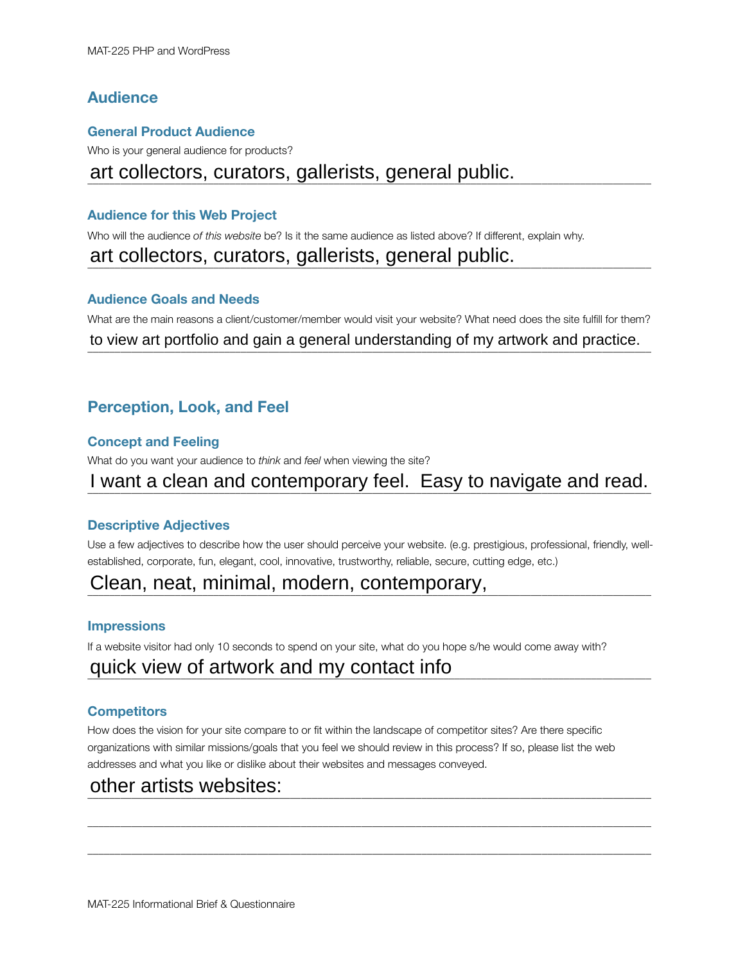### **Audience**

### **General Product Audience**

Who is your general audience for products?

# art collectors, curators, gallerists, general public.

### **Audience for this Web Project**

Who will the audience *of this website* be? Is it the same audience as listed above? If different, explain why.

# art collectors, curators, gallerists, general public.

### **Audience Goals and Needs**

What are the main reasons a client/customer/member would visit your website? What need does the site fulfill for them? to view art portfolio and gain a general understanding of my artwork and practice.

### **Perception, Look, and Feel**

### **Concept and Feeling**

What do you want your audience to *think* and *feel* when viewing the site?

# I want a clean and contemporary feel. Easy to navigate and read.

### **Descriptive Adjectives**

Use a few adjectives to describe how the user should perceive your website. (e.g. prestigious, professional, friendly, wellestablished, corporate, fun, elegant, cool, innovative, trustworthy, reliable, secure, cutting edge, etc.)

# Clean, neat, minimal, modern, contemporary, metallicial and the contemporary,

### **Impressions**

If a website visitor had only 10 seconds to spend on your site, what do you hope s/he would come away with?

# quick view of artwork and my contact info

### **Competitors**

How does the vision for your site compare to or fit within the landscape of competitor sites? Are there specific organizations with similar missions/goals that you feel we should review in this process? If so, please list the web addresses and what you like or dislike about their websites and messages conveyed.

 $\bot$  , and the state of the state of the state of the state of the state of the state of the state of the state of the state of the state of the state of the state of the state of the state of the state of the state of th

 $\bot$  , and the state of the state of the state of the state of the state of the state of the state of the state of the state of the state of the state of the state of the state of the state of the state of the state of th

#### $\frac{1}{2}$  and another conducts. other artists websites: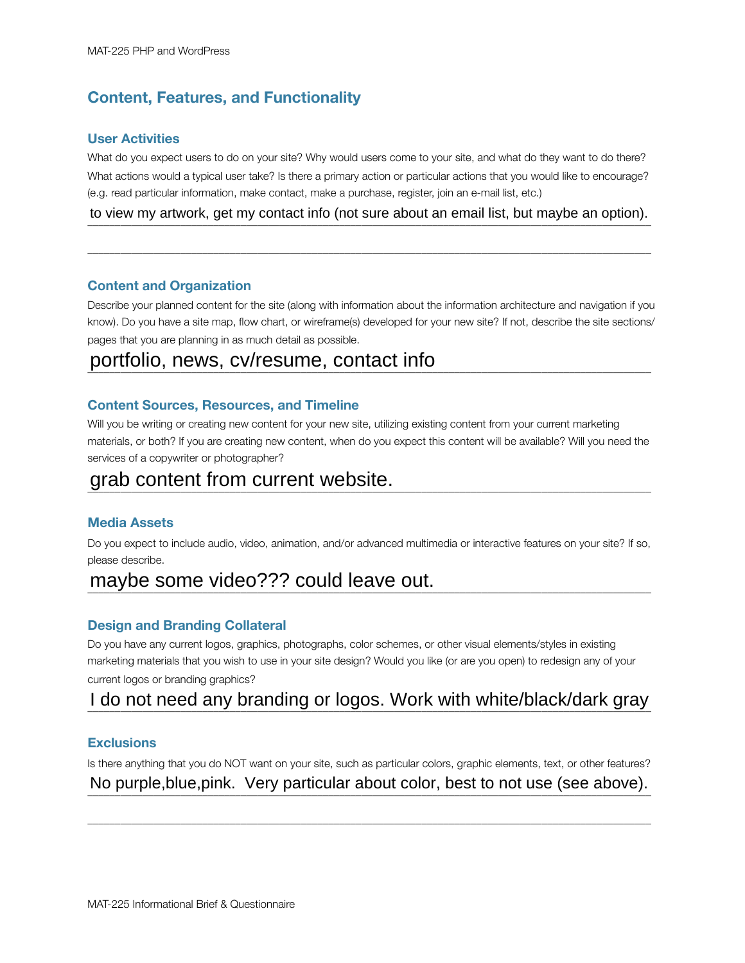### **Content, Features, and Functionality**

### **User Activities**

What do you expect users to do on your site? Why would users come to your site, and what do they want to do there? What actions would a typical user take? Is there a primary action or particular actions that you would like to encourage? (e.g. read particular information, make contact, make a purchase, register, join an e-mail list, etc.)

to view my artwork, get my contact info (not sure about an email list, but maybe an option).

 $\bot$  , and the state of the state of the state of the state of the state of the state of the state of the state of the state of the state of the state of the state of the state of the state of the state of the state of th

#### **Content and Organization**

Describe your planned content for the site (along with information about the information architecture and navigation if you know). Do you have a site map, flow chart, or wireframe(s) developed for your new site? If not, describe the site sections/ pages that you are planning in as much detail as possible.

# portfolio, news, cv/resume, contact info

### **Content Sources, Resources, and Timeline**

Will you be writing or creating new content for your new site, utilizing existing content from your current marketing materials, or both? If you are creating new content, when do you expect this content will be available? Will you need the services of a copywriter or photographer?

# grab content from current website.

#### **Media Assets**

Do you expect to include audio, video, animation, and/or advanced multimedia or interactive features on your site? If so, please describe.

# maybe some video??? could leave out.

### **Design and Branding Collateral**

Do you have any current logos, graphics, photographs, color schemes, or other visual elements/styles in existing marketing materials that you wish to use in your site design? Would you like (or are you open) to redesign any of your current logos or branding graphics?

### I do not need any branding or logos. Work with white/black/dark gray

### **Exclusions**

Is there anything that you do NOT want on your site, such as particular colors, graphic elements, text, or other features? No purple,blue,pink. Very particular about color, best to not use (see above).

 $\bot$  , and the state of the state of the state of the state of the state of the state of the state of the state of the state of the state of the state of the state of the state of the state of the state of the state of th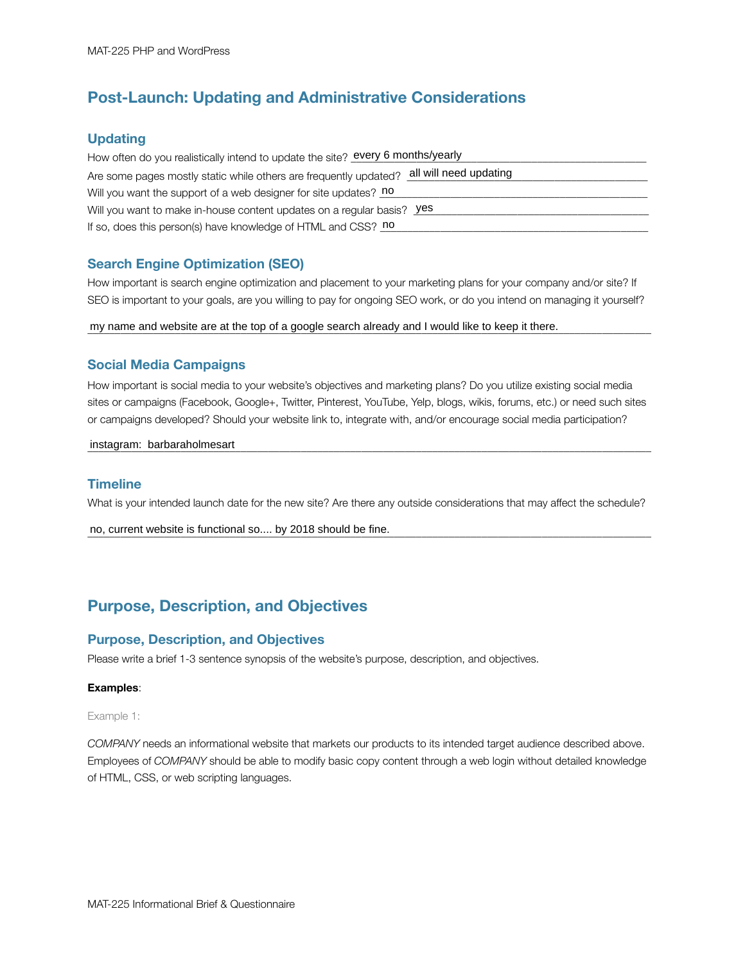### **Post-Launch: Updating and Administrative Considerations**

### **Updating**

| How often do you realistically intend to update the site? every 6 months/yearly             |
|---------------------------------------------------------------------------------------------|
| all will need updating<br>Are some pages mostly static while others are frequently updated? |
| Will you want the support of a web designer for site updates? no                            |
| Will you want to make in-house content updates on a regular basis? <b>Yes</b>               |
| If so, does this person(s) have knowledge of HTML and CSS? no                               |

### **Search Engine Optimization (SEO)**

How important is search engine optimization and placement to your marketing plans for your company and/or site? If SEO is important to your goals, are you willing to pay for ongoing SEO work, or do you intend on managing it yourself?

my name and website are at the top of a google search already and I would like to keep it there.

### **Social Media Campaigns**

How important is social media to your website's objectives and marketing plans? Do you utilize existing social media sites or campaigns (Facebook, Google+, Twitter, Pinterest, YouTube, Yelp, blogs, wikis, forums, etc.) or need such sites or campaigns developed? Should your website link to, integrate with, and/or encourage social media participation?

### dimetagram: barbaraholmesart entity and all and all and all and all and all and all and all and all and all and a

#### **Timeline**

What is your intended launch date for the new site? Are there any outside considerations that may affect the schedule?

no, current website is functional so.... by 2018 should be fine.

### **Purpose, Description, and Objectives**

#### **Purpose, Description, and Objectives**

Please write a brief 1-3 sentence synopsis of the website's purpose, description, and objectives.

#### **Examples**:

Example 1:

*COMPANY* needs an informational website that markets our products to its intended target audience described above. Employees of *COMPANY* should be able to modify basic copy content through a web login without detailed knowledge of HTML, CSS, or web scripting languages.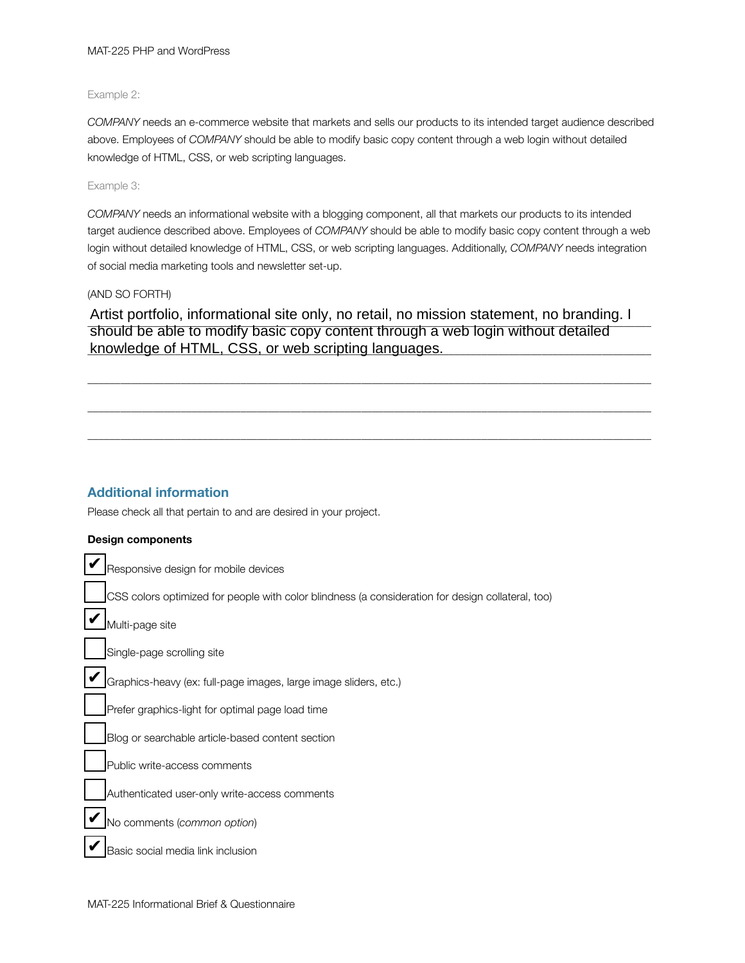#### MAT-225 PHP and WordPress

#### Example 2:

*COMPANY* needs an e-commerce website that markets and sells our products to its intended target audience described above. Employees of *COMPANY* should be able to modify basic copy content through a web login without detailed knowledge of HTML, CSS, or web scripting languages.

#### Example 3:

*COMPANY* needs an informational website with a blogging component, all that markets our products to its intended target audience described above. Employees of *COMPANY* should be able to modify basic copy content through a web login without detailed knowledge of HTML, CSS, or web scripting languages. Additionally, *COMPANY* needs integration of social media marketing tools and newsletter set-up.

#### (AND SO FORTH)

Artist portfolio, informational site only, no retail, no mission statement, no branding. I knowledge of HTML, CSS, or web scripting languages. should be able to modify basic copy content through a web login without detailed

 $\bot$  , and the state of the state of the state of the state of the state of the state of the state of the state of the state of the state of the state of the state of the state of the state of the state of the state of th

 $\bot$  , and the state of the state of the state of the state of the state of the state of the state of the state of the state of the state of the state of the state of the state of the state of the state of the state of th

 $\bot$  , and the state of the state of the state of the state of the state of the state of the state of the state of the state of the state of the state of the state of the state of the state of the state of the state of th

### **Additional information**

Please check all that pertain to and are desired in your project.

#### **Design components**

| Responsive design for mobile devices                                                              |
|---------------------------------------------------------------------------------------------------|
| CSS colors optimized for people with color blindness (a consideration for design collateral, too) |
| Multi-page site                                                                                   |
| Single-page scrolling site                                                                        |
| Graphics-heavy (ex: full-page images, large image sliders, etc.)                                  |
| Prefer graphics-light for optimal page load time                                                  |
| Blog or searchable article-based content section                                                  |
| Public write-access comments                                                                      |
| Authenticated user-only write-access comments                                                     |
| No comments (common option)                                                                       |
| Basic social media link inclusion                                                                 |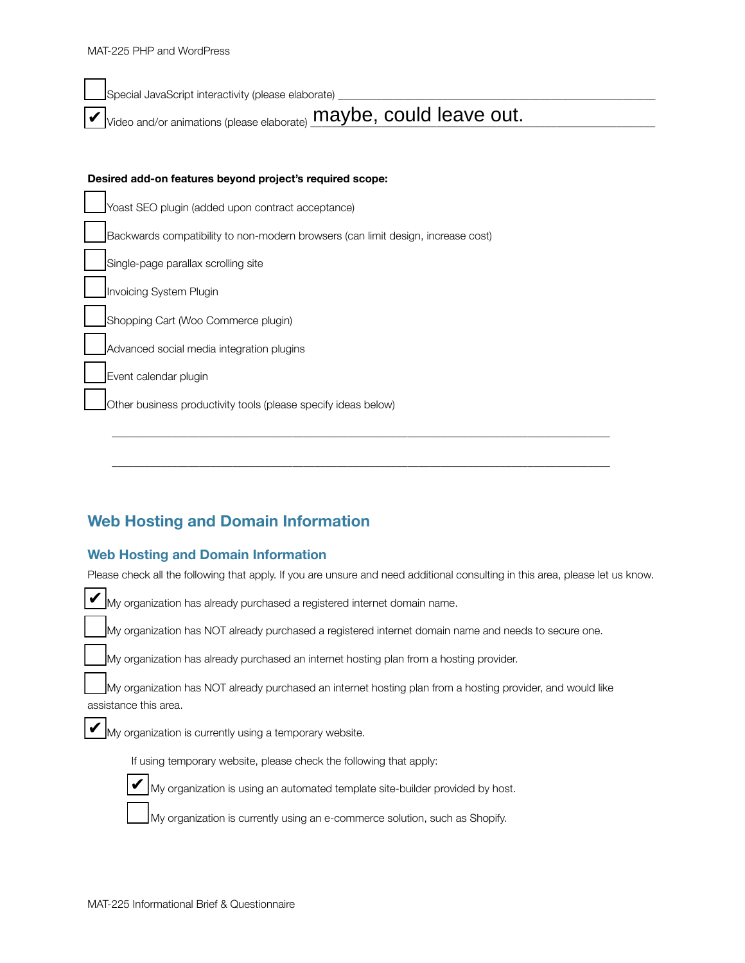Special JavaScript interactivity (please elaborate)  $\nu$  Video and/or animations (please elaborate)  $\overline{\text{maybe}}, \text{could leave out.}$ **Desired add-on features beyond project's required scope:**  Yoast SEO plugin (added upon contract acceptance) Backwards compatibility to non-modern browsers (can limit design, increase cost) Single-page parallax scrolling site Invoicing System Plugin Shopping Cart (Woo Commerce plugin)

Advanced social media integration plugins

Event calendar plugin

Other business productivity tools (please specify ideas below)

### **Web Hosting and Domain Information**

### **Web Hosting and Domain Information**

Please check all the following that apply. If you are unsure and need additional consulting in this area, please let us know.

 $\overline{\phantom{a}}$  ,  $\overline{\phantom{a}}$  ,  $\overline{\phantom{a}}$  ,  $\overline{\phantom{a}}$  ,  $\overline{\phantom{a}}$  ,  $\overline{\phantom{a}}$  ,  $\overline{\phantom{a}}$  ,  $\overline{\phantom{a}}$  ,  $\overline{\phantom{a}}$  ,  $\overline{\phantom{a}}$  ,  $\overline{\phantom{a}}$  ,  $\overline{\phantom{a}}$  ,  $\overline{\phantom{a}}$  ,  $\overline{\phantom{a}}$  ,  $\overline{\phantom{a}}$  ,  $\overline{\phantom{a}}$ 

 $\overline{\phantom{a}}$  ,  $\overline{\phantom{a}}$  ,  $\overline{\phantom{a}}$  ,  $\overline{\phantom{a}}$  ,  $\overline{\phantom{a}}$  ,  $\overline{\phantom{a}}$  ,  $\overline{\phantom{a}}$  ,  $\overline{\phantom{a}}$  ,  $\overline{\phantom{a}}$  ,  $\overline{\phantom{a}}$  ,  $\overline{\phantom{a}}$  ,  $\overline{\phantom{a}}$  ,  $\overline{\phantom{a}}$  ,  $\overline{\phantom{a}}$  ,  $\overline{\phantom{a}}$  ,  $\overline{\phantom{a}}$ 

My organization has already purchased a registered internet domain name. My organization has NOT already purchased a registered internet domain name and needs to secure one. My organization has already purchased an internet hosting plan from a hosting provider. My organization has NOT already purchased an internet hosting plan from a hosting provider, and would like assistance this area. ✔

My organization is currently using a temporary website.

If using temporary website, please check the following that apply:



✔

\_\_\_ My organization is using an automated template site-builder provided by host.

My organization is currently using an e-commerce solution, such as Shopify.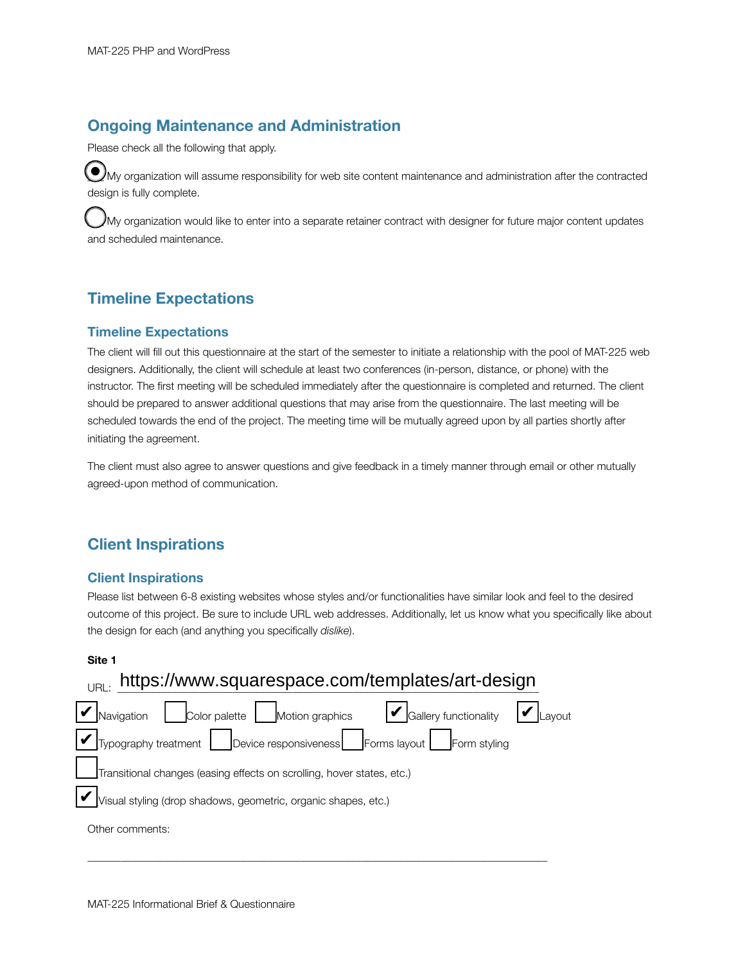### **Ongoing Maintenance and Administration**

Please check all the following that apply.

 $\odot$ My organization will assume responsibility for web site content maintenance and administration after the contracted design is fully complete.

My organization would like to enter into a separate retainer contract with designer for future major content updates and scheduled maintenance.

### **Timeline Expectations**

### **Timeline Expectations**

The client will fill out this questionnaire at the start of the semester to initiate a relationship with the pool of MAT-225 web designers. Additionally, the client will schedule at least two conferences (in-person, distance, or phone) with the instructor. The first meeting will be scheduled immediately after the questionnaire is completed and returned. The client should be prepared to answer additional questions that may arise from the questionnaire. The last meeting will be scheduled towards the end of the project. The meeting time will be mutually agreed upon by all parties shortly after initiating the agreement.

The client must also agree to answer questions and give feedback in a timely manner through email or other mutually agreed-upon method of communication.

### **Client Inspirations**

### **Client Inspirations**

Please list between 6-8 existing websites whose styles and/or functionalities have similar look and feel to the desired outcome of this project. Be sure to include URL web addresses. Additionally, let us know what you specifically like about the design for each (and anything you specifically *dislike*).

#### **Site 1**

| <sub>URL:</sub> https://www.squarespace.com/templates/art-design                           |  |
|--------------------------------------------------------------------------------------------|--|
| Color palette Motion graphics <b>V</b> Gallery functionality <b>V</b> Layout<br>Navigation |  |
|                                                                                            |  |
| Transitional changes (easing effects on scrolling, hover states, etc.)                     |  |
| Visual styling (drop shadows, geometric, organic shapes, etc.)                             |  |
| Other comments:                                                                            |  |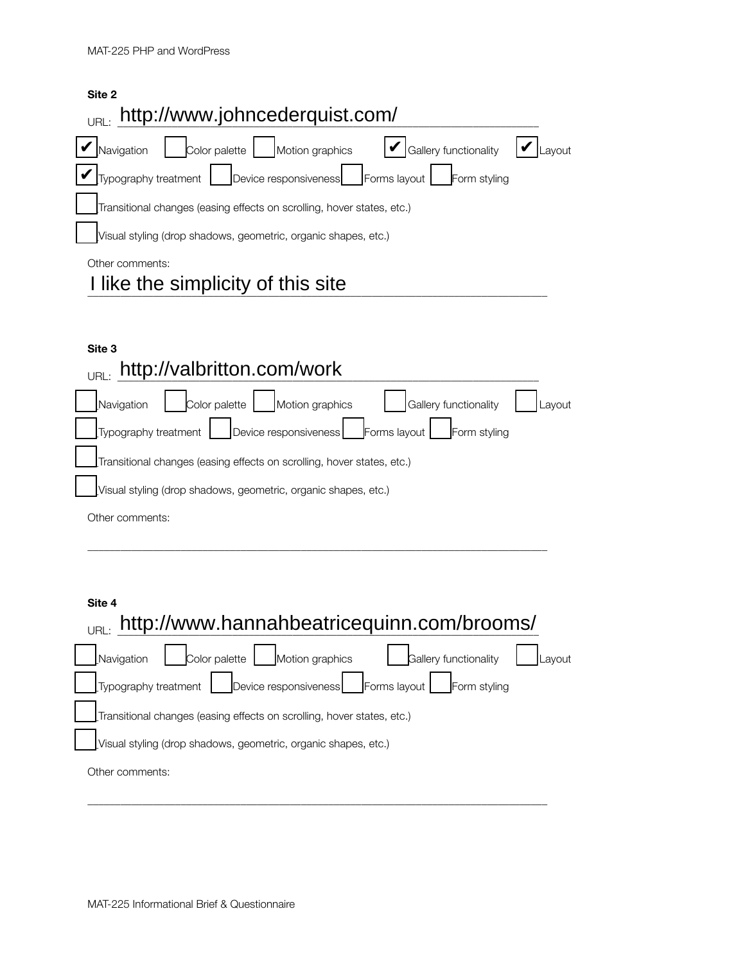| Site 2                                                                                 |
|----------------------------------------------------------------------------------------|
| http://www.johncederquist.com/<br>URI                                                  |
| $ \mathcal{V} $ Gallery functionality<br>Color palette   Motion graphics<br>Navigation |
| Device responsiveness   Forms layout  <br>Typography treatment<br>Form styling         |
| Transitional changes (easing effects on scrolling, hover states, etc.)                 |
| Visual styling (drop shadows, geometric, organic shapes, etc.)                         |
| Other comments:                                                                        |
| I like the simplicity of this site                                                     |

**Site 3**

# $U_{\text{URL:}}$  <http://valbritton.com/work>

| Color palette Motion graphics<br>Gallery functionality<br>Navigation       | Layout |
|----------------------------------------------------------------------------|--------|
| Typography treatment   Device responsiveness   Forms layout   Form styling |        |
| Transitional changes (easing effects on scrolling, hover states, etc.)     |        |
| Visual styling (drop shadows, geometric, organic shapes, etc.)             |        |
| Other comments:                                                            |        |

\_\_\_\_\_\_\_\_\_\_\_\_\_\_\_\_\_\_\_\_\_\_\_\_\_\_\_\_\_\_\_\_\_\_\_\_\_\_\_\_\_\_\_\_\_\_\_\_\_\_\_\_\_\_\_\_\_\_\_\_\_\_\_\_\_\_\_\_\_\_\_\_\_\_\_\_\_\_\_\_\_\_\_\_

### **Site 4**

| http://www.hannahbeatricequinn.com/brooms/<br>IIRI                             |        |
|--------------------------------------------------------------------------------|--------|
| Color palette $ $<br>Motion graphics<br>Gallery functionality<br>Navigation    | Lavout |
| Device responsiveness   Forms layout  <br>Form styling<br>Typography treatment |        |
| Transitional changes (easing effects on scrolling, hover states, etc.)         |        |
| Visual styling (drop shadows, geometric, organic shapes, etc.)                 |        |
| Other comments:                                                                |        |
|                                                                                |        |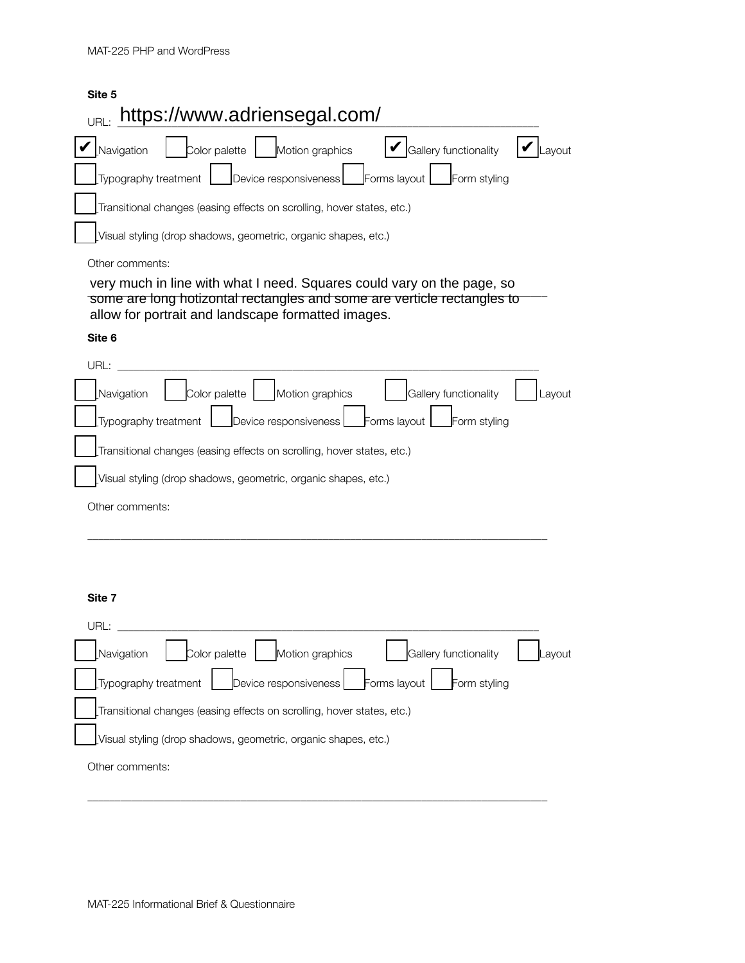# **Site 5** URL: <https://www.adriensegal.com/>  $\blacktriangledown$  Navigation  $\|\cdot\|$  Color palette  $\|\cdot\|$  Motion graphics  $\|\cdot\|$  Gallery functionality  $\|\cdot\|$  Layout Typography treatment **|\_\_\_**Device responsiveness |\_\_\_Forms layout |\_\_\_Form styling \_\_Transitional changes (easing effects on scrolling, hover states, etc.) \_\_Visual styling (drop shadows, geometric, organic shapes, etc.) Other comments: ong meen in the with these research equal of obtain tary on the page, of some are long hotizontal rectangles and some are verticle rectangles to very much in line with what I need. Squares could vary on the page, so

# allow for portrait and landscape formatted images.

#### **Site 6**

| URL:                                                                       |        |
|----------------------------------------------------------------------------|--------|
| Color palette   Motion graphics<br>Gallery functionality<br>Navigation     | Lavout |
| Device responsiveness Forms layout<br>Form styling<br>Typography treatment |        |
| Transitional changes (easing effects on scrolling, hover states, etc.)     |        |
| Visual styling (drop shadows, geometric, organic shapes, etc.)             |        |
| Other comments:                                                            |        |

\_\_\_\_\_\_\_\_\_\_\_\_\_\_\_\_\_\_\_\_\_\_\_\_\_\_\_\_\_\_\_\_\_\_\_\_\_\_\_\_\_\_\_\_\_\_\_\_\_\_\_\_\_\_\_\_\_\_\_\_\_\_\_\_\_\_\_\_\_\_\_\_\_\_\_\_\_\_\_\_\_\_\_\_

#### **Site 7**

| URL:                                                                       |        |
|----------------------------------------------------------------------------|--------|
| Color palette   Motion graphics   Gallery functionality<br>Navigation      | Layout |
| Typography treatment   Device responsiveness   Forms layout   Form styling |        |
| Transitional changes (easing effects on scrolling, hover states, etc.)     |        |
| Visual styling (drop shadows, geometric, organic shapes, etc.)             |        |
| Other comments:                                                            |        |